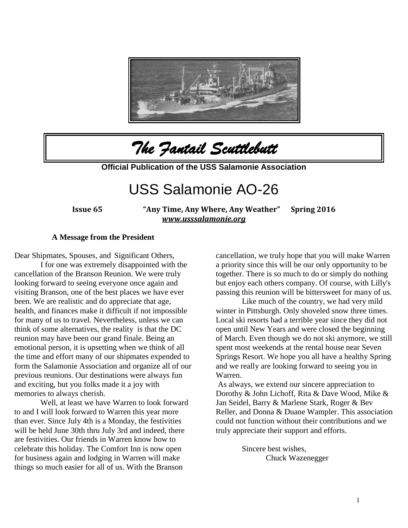

*The Fantail Scuttlebutt* 

**Official Publication of the USS Salamonie Association**

# USS Salamonie AO-26

**Issue 65 "Any Time, Any Where, Any Weather" Spring 2016**  *[www.usssalamonie.org](http://www.usssalamonie.org/)*

#### **A Message from the President**

Dear Shipmates, Spouses, and Significant Others,

I for one was extremely disappointed with the cancellation of the Branson Reunion. We were truly looking forward to seeing everyone once again and visiting Branson, one of the best places we have ever been. We are realistic and do appreciate that age, health, and finances make it difficult if not impossible for many of us to travel. Nevertheless, unless we can think of some alternatives, the reality is that the DC reunion may have been our grand finale. Being an emotional person, it is upsetting when we think of all the time and effort many of our shipmates expended to form the Salamonie Association and organize all of our previous reunions. Our destinations were always fun and exciting, but you folks made it a joy with memories to always cherish.

Well, at least we have Warren to look forward to and I will look forward to Warren this year more than ever. Since July 4th is a Monday, the festivities will be held June 30th thru July 3rd and indeed, there are festivities. Our friends in Warren know how to celebrate this holiday. The Comfort Inn is now open for business again and lodging in Warren will make things so much easier for all of us. With the Branson

cancellation, we truly hope that you will make Warren a priority since this will be our only opportunity to be together. There is so much to do or simply do nothing but enjoy each others company. Of course, with Lilly's passing this reunion will be bittersweet for many of us.

Like much of the country, we had very mild winter in Pittsburgh. Only shoveled snow three times. Local ski resorts had a terrible year since they did not open until New Years and were closed the beginning of March. Even though we do not ski anymore, we still spent most weekends at the rental house near Seven Springs Resort. We hope you all have a healthy Spring and we really are looking forward to seeing you in Warren.

As always, we extend our sincere appreciation to Dorothy & John Lichoff, Rita & Dave Wood, Mike & Jan Seidel, Barry & Marlene Stark, Roger & Bev Reller, and Donna & Duane Wampler. This association could not function without their contributions and we truly appreciate their support and efforts.

> Sincere best wishes, Chuck Wazenegger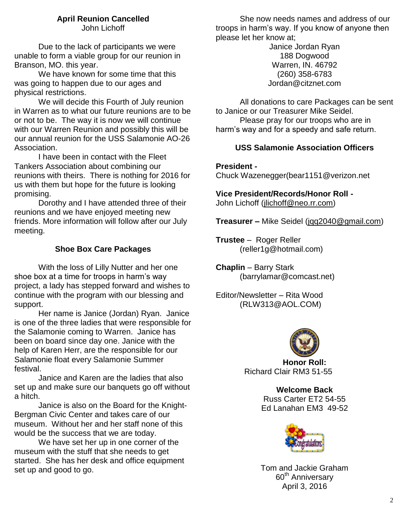## **April Reunion Cancelled**

John Lichoff

Due to the lack of participants we were unable to form a viable group for our reunion in Branson, MO. this year.

We have known for some time that this was going to happen due to our ages and physical restrictions.

We will decide this Fourth of July reunion in Warren as to what our future reunions are to be or not to be. The way it is now we will continue with our Warren Reunion and possibly this will be our annual reunion for the USS Salamonie AO-26 Association.

I have been in contact with the Fleet Tankers Association about combining our reunions with theirs. There is nothing for 2016 for us with them but hope for the future is looking promising.

Dorothy and I have attended three of their reunions and we have enjoyed meeting new friends. More information will follow after our July meeting.

### **Shoe Box Care Packages**

With the loss of Lilly Nutter and her one shoe box at a time for troops in harm's way project, a lady has stepped forward and wishes to continue with the program with our blessing and support.

Her name is Janice (Jordan) Ryan. Janice is one of the three ladies that were responsible for the Salamonie coming to Warren. Janice has been on board since day one. Janice with the help of Karen Herr, are the responsible for our Salamonie float every Salamonie Summer festival.

Janice and Karen are the ladies that also set up and make sure our banquets go off without a hitch.

Janice is also on the Board for the Knight-Bergman Civic Center and takes care of our museum. Without her and her staff none of this would be the success that we are today.

We have set her up in one corner of the museum with the stuff that she needs to get started. She has her desk and office equipment set up and good to go.

She now needs names and address of our troops in harm's way. If you know of anyone then please let her know at;

> Janice Jordan Ryan 188 Dogwood Warren, IN. 46792 (260) 358-6783 Jordan@citznet.com

All donations to care Packages can be sent to Janice or our Treasurer Mike Seidel. Please pray for our troops who are in harm's way and for a speedy and safe return.

#### **USS Salamonie Association Officers**

**President -** Chuck Wazenegger(bear1151@verizon.net

**Vice President/Records/Honor Roll -**  John Lichoff [\(jlichoff@neo.rr.com\)](mailto:jlichoff@neo.rr.com)

**Treasurer –** Mike Seidel [\(jqq2040@gmail.com\)](mailto:jqq2040@gmail.com)

**Trustee** – Roger Reller (reller1g@hotmail.com)

**Chaplin** – Barry Stark (barrylamar@comcast.net)

Editor/Newsletter – Rita Wood (RLW313@AOL.COM)



**Honor Roll:** Richard Clair RM3 51-55

> **Welcome Back** Russ Carter ET2 54-55 Ed Lanahan EM3 49-52



Tom and Jackie Graham 60<sup>th</sup> Anniversary April 3, 2016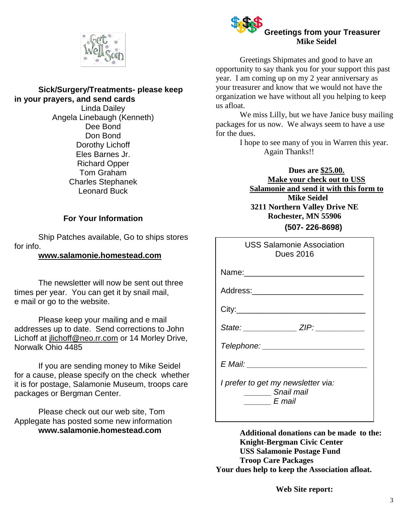

#### **Sick/Surgery/Treatments- please keep in your prayers, and send cards**

Linda Dailey Angela Linebaugh (Kenneth) Dee Bond Don Bond Dorothy Lichoff Eles Barnes Jr. Richard Opper Tom Graham Charles Stephanek Leonard Buck

#### **For Your Information**

Ship Patches available, Go to ships stores for info.

#### **[www.salamonie.homestead.com](http://www.salamonie.homestead.com/)**

The newsletter will now be sent out three times per year. You can get it by snail mail, e mail or go to the website.

Please keep your mailing and e mail addresses up to date. Send corrections to John Lichoff at [jlichoff@neo.rr.com](mailto:jlichoff@neo.rr.com) or 14 Morley Drive, Norwalk Ohio 4485

If you are sending money to Mike Seidel for a cause, please specify on the check whether it is for postage, Salamonie Museum, troops care packages or Bergman Center.

Please check out our web site, Tom Applegate has posted some new information **www.salamonie.homestead.com**



Greetings Shipmates and good to have an opportunity to say thank you for your support this past year. I am coming up on my 2 year anniversary as your treasurer and know that we would not have the organization we have without all you helping to keep us afloat.

We miss Lilly, but we have Janice busy mailing packages for us now. We always seem to have a use for the dues.

> I hope to see many of you in Warren this year. Again Thanks!!

**Dues are \$25.00. Make your check out to USS Salamonie and send it with this form to Mike Seidel 3211 Northern Valley Drive NE Rochester, MN 55906 (507- 226-8698)**

| <b>USS Salamonie Association</b><br><b>Dues 2016</b>                       |
|----------------------------------------------------------------------------|
| Name: _________________________                                            |
|                                                                            |
|                                                                            |
| State: ________________ZIP: _____________                                  |
| Telephone: ________________________                                        |
| E Mail: __________________________                                         |
| I prefer to get my newsletter via:<br>Snail mail<br>$\qquad \qquad$ E mail |

**Additional donations can be made to the: Knight-Bergman Civic Center USS Salamonie Postage Fund Troop Care Packages Your dues help to keep the Association afloat.**

**Web Site report:**